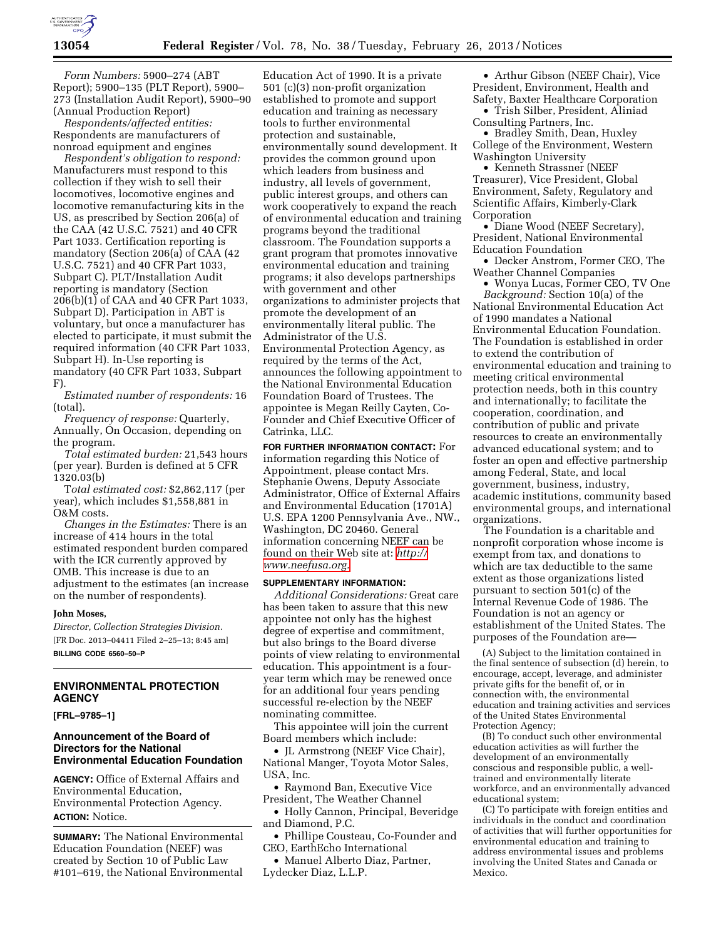

*Form Numbers:* 5900–274 (ABT Report); 5900–135 (PLT Report), 5900– 273 (Installation Audit Report), 5900–90 (Annual Production Report)

*Respondents/affected entities:*  Respondents are manufacturers of nonroad equipment and engines

*Respondent's obligation to respond:*  Manufacturers must respond to this collection if they wish to sell their locomotives, locomotive engines and locomotive remanufacturing kits in the US, as prescribed by Section 206(a) of the CAA (42 U.S.C. 7521) and 40 CFR Part 1033. Certification reporting is mandatory (Section 206(a) of CAA (42 U.S.C. 7521) and 40 CFR Part 1033, Subpart C). PLT/Installation Audit reporting is mandatory (Section 206(b)(1) of CAA and 40 CFR Part 1033, Subpart D). Participation in ABT is voluntary, but once a manufacturer has elected to participate, it must submit the required information (40 CFR Part 1033, Subpart H). In-Use reporting is mandatory (40 CFR Part 1033, Subpart F).

*Estimated number of respondents:* 16 (total).

*Frequency of response:* Quarterly, Annually, On Occasion, depending on the program.

*Total estimated burden:* 21,543 hours (per year). Burden is defined at 5 CFR 1320.03(b)

T*otal estimated cost:* \$2,862,117 (per year), which includes \$1,558,881 in O&M costs.

*Changes in the Estimates:* There is an increase of 414 hours in the total estimated respondent burden compared with the ICR currently approved by OMB. This increase is due to an adjustment to the estimates (an increase on the number of respondents).

#### **John Moses,**

*Director, Collection Strategies Division.*  [FR Doc. 2013–04411 Filed 2–25–13; 8:45 am] **BILLING CODE 6560–50–P** 

# **ENVIRONMENTAL PROTECTION AGENCY**

**[FRL–9785–1]** 

# **Announcement of the Board of Directors for the National Environmental Education Foundation**

**AGENCY:** Office of External Affairs and Environmental Education, Environmental Protection Agency. **ACTION:** Notice.

**SUMMARY:** The National Environmental Education Foundation (NEEF) was created by Section 10 of Public Law #101–619, the National Environmental

Education Act of 1990. It is a private 501 (c)(3) non-profit organization established to promote and support education and training as necessary tools to further environmental protection and sustainable, environmentally sound development. It provides the common ground upon which leaders from business and industry, all levels of government, public interest groups, and others can work cooperatively to expand the reach of environmental education and training programs beyond the traditional classroom. The Foundation supports a grant program that promotes innovative environmental education and training programs; it also develops partnerships with government and other organizations to administer projects that promote the development of an environmentally literal public. The Administrator of the U.S. Environmental Protection Agency, as required by the terms of the Act, announces the following appointment to the National Environmental Education Foundation Board of Trustees. The appointee is Megan Reilly Cayten, Co-Founder and Chief Executive Officer of Catrinka, LLC.

**FOR FURTHER INFORMATION CONTACT:** For information regarding this Notice of Appointment, please contact Mrs. Stephanie Owens, Deputy Associate Administrator, Office of External Affairs and Environmental Education (1701A) U.S. EPA 1200 Pennsylvania Ave., NW., Washington, DC 20460. General information concerning NEEF can be found on their Web site at: *[http://](http://www.neefusa.org)  [www.neefusa.org.](http://www.neefusa.org)* 

## **SUPPLEMENTARY INFORMATION:**

*Additional Considerations:* Great care has been taken to assure that this new appointee not only has the highest degree of expertise and commitment, but also brings to the Board diverse points of view relating to environmental education. This appointment is a fouryear term which may be renewed once for an additional four years pending successful re-election by the NEEF nominating committee.

This appointee will join the current Board members which include:

• JL Armstrong (NEEF Vice Chair), National Manger, Toyota Motor Sales, USA, Inc.

• Raymond Ban, Executive Vice President, The Weather Channel

• Holly Cannon, Principal, Beveridge and Diamond, P.C.

• Phillipe Cousteau, Co-Founder and CEO, EarthEcho International

• Manuel Alberto Diaz, Partner, Lydecker Diaz, L.L.P.

• Arthur Gibson (NEEF Chair), Vice President, Environment, Health and Safety, Baxter Healthcare Corporation

• Trish Silber, President, Aliniad Consulting Partners, Inc.

• Bradley Smith, Dean, Huxley College of the Environment, Western Washington University

• Kenneth Strassner (NEEF Treasurer), Vice President, Global Environment, Safety, Regulatory and Scientific Affairs, Kimberly-Clark Corporation

• Diane Wood (NEEF Secretary), President, National Environmental Education Foundation

• Decker Anstrom, Former CEO, The Weather Channel Companies

• Wonya Lucas, Former CEO, TV One *Background:* Section 10(a) of the National Environmental Education Act of 1990 mandates a National Environmental Education Foundation. The Foundation is established in order to extend the contribution of environmental education and training to meeting critical environmental protection needs, both in this country and internationally; to facilitate the cooperation, coordination, and contribution of public and private resources to create an environmentally advanced educational system; and to foster an open and effective partnership among Federal, State, and local government, business, industry, academic institutions, community based environmental groups, and international organizations.

The Foundation is a charitable and nonprofit corporation whose income is exempt from tax, and donations to which are tax deductible to the same extent as those organizations listed pursuant to section 501(c) of the Internal Revenue Code of 1986. The Foundation is not an agency or establishment of the United States. The purposes of the Foundation are—

(A) Subject to the limitation contained in the final sentence of subsection (d) herein, to encourage, accept, leverage, and administer private gifts for the benefit of, or in connection with, the environmental education and training activities and services of the United States Environmental Protection Agency;

(B) To conduct such other environmental education activities as will further the development of an environmentally conscious and responsible public, a welltrained and environmentally literate workforce, and an environmentally advanced educational system;

(C) To participate with foreign entities and individuals in the conduct and coordination of activities that will further opportunities for environmental education and training to address environmental issues and problems involving the United States and Canada or Mexico.